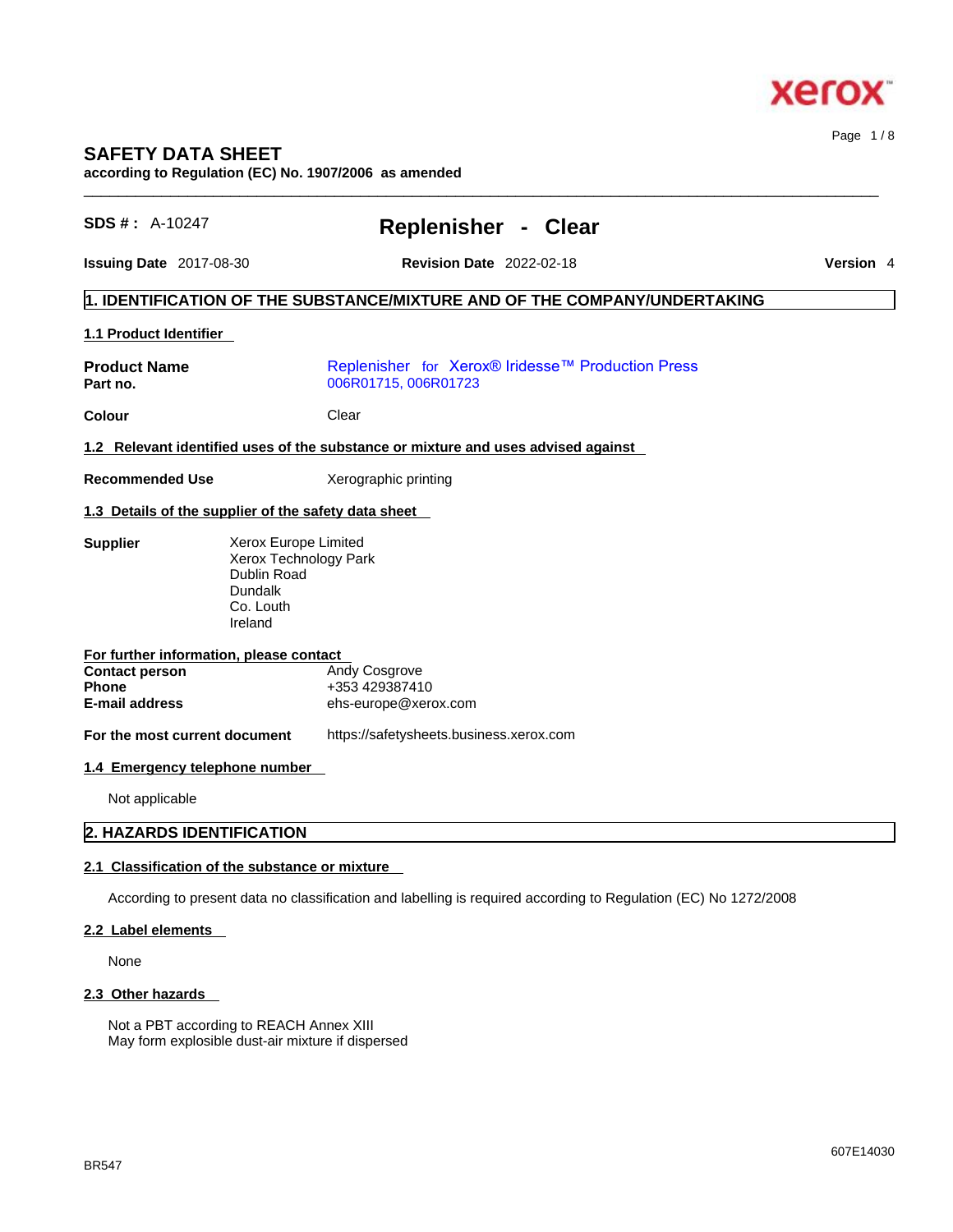

# **SAFETY DATA SHEET**

**according to Regulation (EC) No. 1907/2006 as amended** 

| $SDS #: A-10247$                                     |                                                                                                 | <b>Replenisher - Clear</b>                                                                                      |  |
|------------------------------------------------------|-------------------------------------------------------------------------------------------------|-----------------------------------------------------------------------------------------------------------------|--|
| Issuing Date 2017-08-30                              |                                                                                                 | <b>Revision Date 2022-02-18</b>                                                                                 |  |
|                                                      |                                                                                                 | 1. IDENTIFICATION OF THE SUBSTANCE/MIXTURE AND OF THE COMPANY/UNDERTAKING                                       |  |
| 1.1 Product Identifier                               |                                                                                                 |                                                                                                                 |  |
| <b>Product Name</b><br>Part no.                      |                                                                                                 | Replenisher for Xerox® Iridesse™ Production Press<br>006R01715, 006R01723                                       |  |
| <b>Colour</b>                                        | Clear                                                                                           |                                                                                                                 |  |
|                                                      |                                                                                                 | 1.2 Relevant identified uses of the substance or mixture and uses advised against                               |  |
| <b>Recommended Use</b>                               | Xerographic printing                                                                            |                                                                                                                 |  |
| 1.3 Details of the supplier of the safety data sheet |                                                                                                 |                                                                                                                 |  |
| <b>Supplier</b>                                      | Xerox Europe Limited<br>Xerox Technology Park<br>Dublin Road<br>Dundalk<br>Co. Louth<br>Ireland |                                                                                                                 |  |
| For further information, please contact              |                                                                                                 |                                                                                                                 |  |
| <b>Contact person</b><br><b>Phone</b>                | Andy Cosgrove<br>+353 429387410                                                                 |                                                                                                                 |  |
| <b>E-mail address</b>                                |                                                                                                 | ehs-europe@xerox.com                                                                                            |  |
| For the most current document                        |                                                                                                 | https://safetysheets.business.xerox.com                                                                         |  |
| 1.4 Emergency telephone number                       |                                                                                                 |                                                                                                                 |  |
| Not applicable                                       |                                                                                                 |                                                                                                                 |  |
| 2. HAZARDS IDENTIFICATION                            |                                                                                                 |                                                                                                                 |  |
| 2.1 Classification of the substance or mixture       |                                                                                                 |                                                                                                                 |  |
|                                                      |                                                                                                 |                                                                                                                 |  |
|                                                      |                                                                                                 | According to present data no classification and labelling is required according to Regulation (EC) No 1272/2008 |  |
| 2.2 Label elements                                   |                                                                                                 |                                                                                                                 |  |

None

### **2.3 Other hazards**

Not a PBT according to REACH Annex XIII May form explosible dust-air mixture if dispersed Page 1 / 8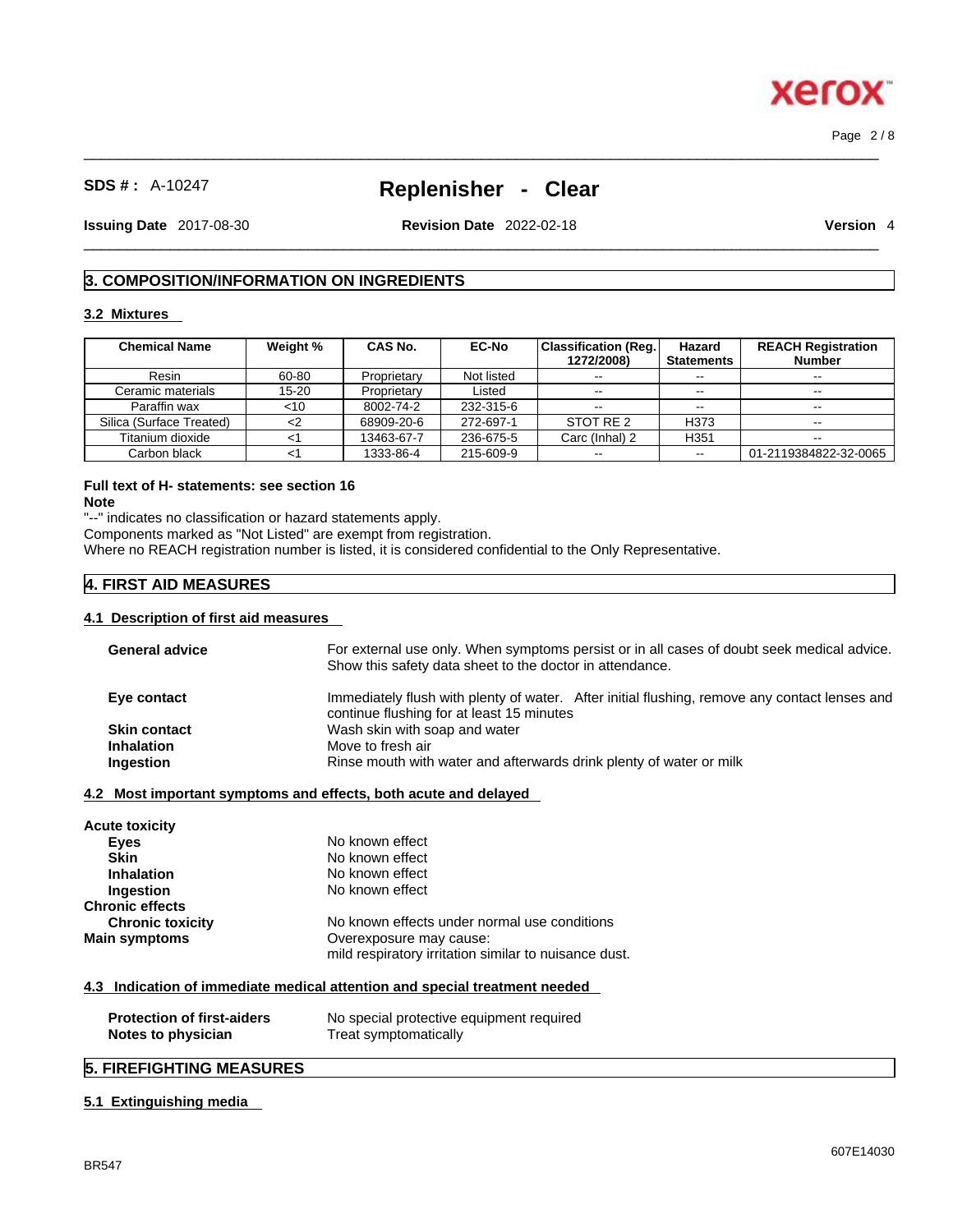Page 2 / 8

**xero** 

# **SDS # :** A-10247 **Replenisher - Clear**

 $\_$  ,  $\_$  ,  $\_$  ,  $\_$  ,  $\_$  ,  $\_$  ,  $\_$  ,  $\_$  ,  $\_$  ,  $\_$  ,  $\_$  ,  $\_$  ,  $\_$  ,  $\_$  ,  $\_$  ,  $\_$  ,  $\_$  ,  $\_$  ,  $\_$  ,  $\_$  ,  $\_$  ,  $\_$  ,  $\_$  ,  $\_$  ,  $\_$  ,  $\_$  ,  $\_$  ,  $\_$  ,  $\_$  ,  $\_$  ,  $\_$  ,  $\_$  ,  $\_$  ,  $\_$  ,  $\_$  ,  $\_$  ,  $\_$  ,

**Issuing Date** 2017-08-30 **Revision Date** 2022-02-18 **Version** 4

 $\_$  ,  $\_$  ,  $\_$  ,  $\_$  ,  $\_$  ,  $\_$  ,  $\_$  ,  $\_$  ,  $\_$  ,  $\_$  ,  $\_$  ,  $\_$  ,  $\_$  ,  $\_$  ,  $\_$  ,  $\_$  ,  $\_$  ,  $\_$  ,  $\_$  ,  $\_$  ,  $\_$  ,  $\_$  ,  $\_$  ,  $\_$  ,  $\_$  ,  $\_$  ,  $\_$  ,  $\_$  ,  $\_$  ,  $\_$  ,  $\_$  ,  $\_$  ,  $\_$  ,  $\_$  ,  $\_$  ,  $\_$  ,  $\_$  ,

### **3. COMPOSITION/INFORMATION ON INGREDIENTS**

#### **3.2 Mixtures**

| <b>Chemical Name</b>     | Weight % | <b>CAS No.</b> | <b>EC-No</b> | <b>Classification (Reg.)</b><br>1272/2008) | Hazard<br><b>Statements</b> | <b>REACH Registration</b><br><b>Number</b> |
|--------------------------|----------|----------------|--------------|--------------------------------------------|-----------------------------|--------------------------------------------|
| Resin                    | 60-80    | Proprietary    | Not listed   | $\sim$ $\sim$                              | $- -$                       | $\overline{\phantom{a}}$                   |
| Ceramic materials        | 15-20    | Proprietary    | Listed       | $- -$                                      | $- -$                       |                                            |
| Paraffin wax             | $<$ 10   | 8002-74-2      | 232-315-6    | $\sim$ $\sim$                              | $- -$                       |                                            |
| Silica (Surface Treated) |          | 68909-20-6     | 272-697-1    | STOT RE 2                                  | H373                        | $- -$                                      |
| Titanium dioxide         |          | 13463-67-7     | 236-675-5    | Carc (Inhal) 2                             | H <sub>351</sub>            | $\overline{\phantom{m}}$                   |
| Carbon black             |          | 1333-86-4      | 215-609-9    | $\sim$ $\sim$                              |                             | 01-2119384822-32-0065                      |

# **Full text of H- statements: see section 16**

**Note**

"--" indicates no classification or hazard statements apply.

Components marked as "Not Listed" are exempt from registration.

Where no REACH registration number is listed, it is considered confidential to the Only Representative.

### **4. FIRST AID MEASURES**

#### **4.1 Description of first aid measures**

| For external use only. When symptoms persist or in all cases of doubt seek medical advice.<br>Show this safety data sheet to the doctor in attendance. |  |
|--------------------------------------------------------------------------------------------------------------------------------------------------------|--|
| Immediately flush with plenty of water. After initial flushing, remove any contact lenses and                                                          |  |
| continue flushing for at least 15 minutes                                                                                                              |  |
| Wash skin with soap and water<br>Move to fresh air                                                                                                     |  |
|                                                                                                                                                        |  |
| Rinse mouth with water and afterwards drink plenty of water or milk                                                                                    |  |
| 4.2 Most important symptoms and effects, both acute and delayed                                                                                        |  |
|                                                                                                                                                        |  |
|                                                                                                                                                        |  |
| No known effect                                                                                                                                        |  |
| No known effect                                                                                                                                        |  |
| No known effect                                                                                                                                        |  |
| No known effect                                                                                                                                        |  |
|                                                                                                                                                        |  |
| No known effects under normal use conditions                                                                                                           |  |
| Overexposure may cause:                                                                                                                                |  |
| mild respiratory irritation similar to nuisance dust.                                                                                                  |  |
| 4.3 Indication of immediate medical attention and special treatment needed                                                                             |  |
| No special protective equipment required                                                                                                               |  |
| Treat symptomatically                                                                                                                                  |  |
|                                                                                                                                                        |  |

### **5. FIREFIGHTING MEASURES**

### **5.1 Extinguishing media**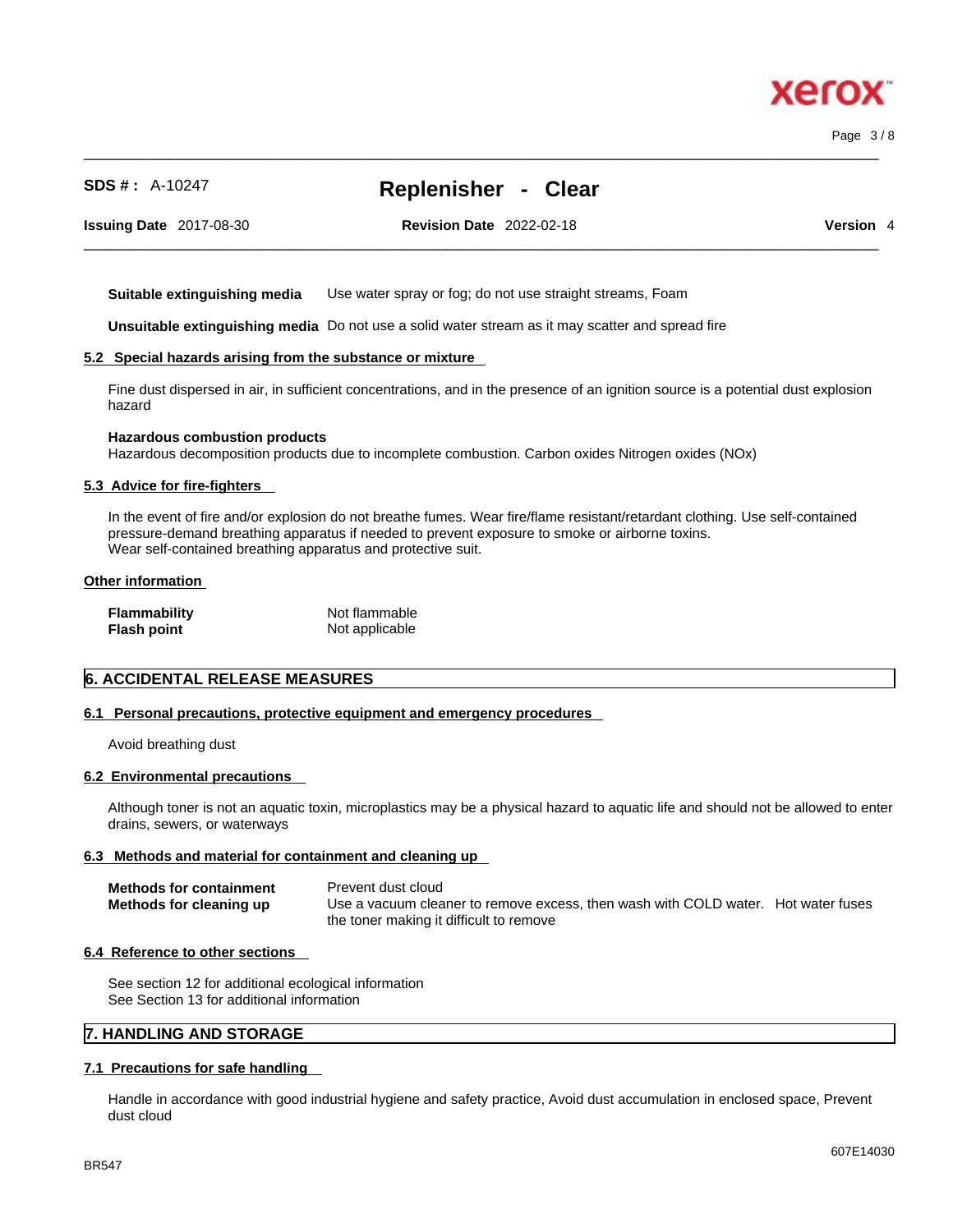# 607E14030

Page 3 / 8

xerc

**SDS # :** A-10247 **Replenisher - Clear**

 $\_$  ,  $\_$  ,  $\_$  ,  $\_$  ,  $\_$  ,  $\_$  ,  $\_$  ,  $\_$  ,  $\_$  ,  $\_$  ,  $\_$  ,  $\_$  ,  $\_$  ,  $\_$  ,  $\_$  ,  $\_$  ,  $\_$  ,  $\_$  ,  $\_$  ,  $\_$  ,  $\_$  ,  $\_$  ,  $\_$  ,  $\_$  ,  $\_$  ,  $\_$  ,  $\_$  ,  $\_$  ,  $\_$  ,  $\_$  ,  $\_$  ,  $\_$  ,  $\_$  ,  $\_$  ,  $\_$  ,  $\_$  ,  $\_$  ,

**Issuing Date** 2017-08-30 **Revision Date** 2022-02-18 **Version** 4

 $\_$  ,  $\_$  ,  $\_$  ,  $\_$  ,  $\_$  ,  $\_$  ,  $\_$  ,  $\_$  ,  $\_$  ,  $\_$  ,  $\_$  ,  $\_$  ,  $\_$  ,  $\_$  ,  $\_$  ,  $\_$  ,  $\_$  ,  $\_$  ,  $\_$  ,  $\_$  ,  $\_$  ,  $\_$  ,  $\_$  ,  $\_$  ,  $\_$  ,  $\_$  ,  $\_$  ,  $\_$  ,  $\_$  ,  $\_$  ,  $\_$  ,  $\_$  ,  $\_$  ,  $\_$  ,  $\_$  ,  $\_$  ,  $\_$  ,

**Suitable extinguishing media** Use water spray or fog; do not use straight streams, Foam

**Unsuitable extinguishing media** Do not use a solid water stream as it may scatterand spread fire

#### **5.2 Special hazards arising from the substance or mixture**

Fine dust dispersed in air, in sufficient concentrations, and in the presence of an ignition source is a potential dust explosion hazard

#### **Hazardous combustion products**

Hazardous decomposition products due to incomplete combustion. Carbon oxides Nitrogen oxides (NOx)

#### **5.3 Advice for fire-fighters**

In the event of fire and/or explosion do not breathe fumes. Wear fire/flame resistant/retardant clothing. Use self-contained pressure-demand breathing apparatus if needed to prevent exposure to smoke or airborne toxins. Wear self-contained breathing apparatus and protective suit.

#### **Other information**

| Flammability | Not flammable  |
|--------------|----------------|
| Flash point  | Not applicable |

#### **6. ACCIDENTAL RELEASE MEASURES**

#### **6.1 Personal precautions, protective equipment and emergency procedures**

Avoid breathing dust

#### **6.2 Environmental precautions**

Although toner is not an aquatic toxin, microplastics may be a physical hazard to aquatic life and should not be allowed to enter drains, sewers, or waterways

#### **6.3 Methods and material for containment and cleaning up**

| <b>Methods for containment</b> | Prevent dust cloud                                                                |
|--------------------------------|-----------------------------------------------------------------------------------|
| Methods for cleaning up        | Use a vacuum cleaner to remove excess, then wash with COLD water. Hot water fuses |
|                                | the toner making it difficult to remove                                           |

#### **6.4 Reference to other sections**

See section 12 for additional ecological information See Section 13 for additional information

### **7. HANDLING AND STORAGE**

#### **7.1 Precautions for safe handling**

Handle in accordance with good industrial hygiene and safety practice, Avoid dust accumulation in enclosed space, Prevent dust cloud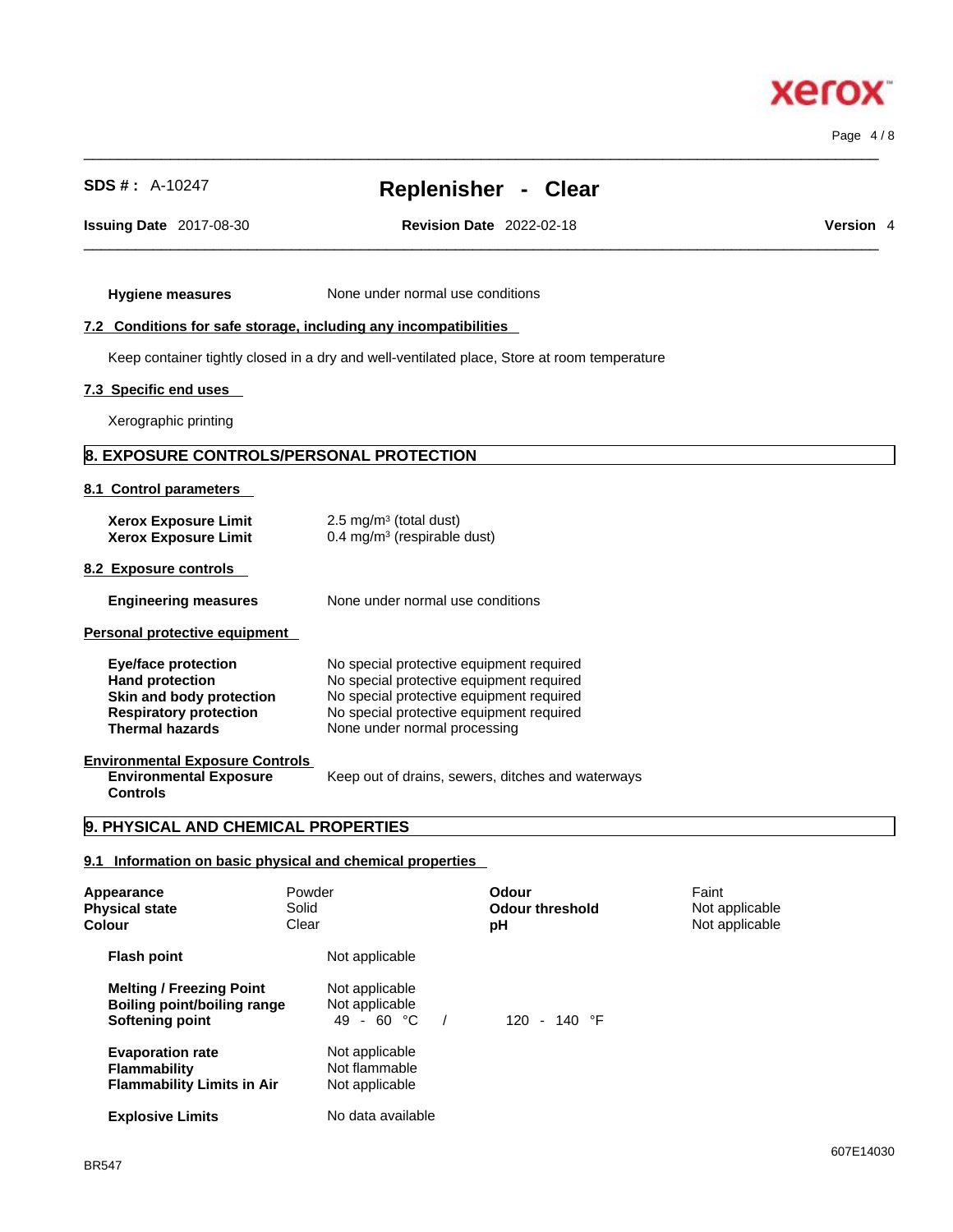**Xerox** 

Page 4 / 8

**SDS # :** A-10247 **Replenisher - Clear**

 $\_$  ,  $\_$  ,  $\_$  ,  $\_$  ,  $\_$  ,  $\_$  ,  $\_$  ,  $\_$  ,  $\_$  ,  $\_$  ,  $\_$  ,  $\_$  ,  $\_$  ,  $\_$  ,  $\_$  ,  $\_$  ,  $\_$  ,  $\_$  ,  $\_$  ,  $\_$  ,  $\_$  ,  $\_$  ,  $\_$  ,  $\_$  ,  $\_$  ,  $\_$  ,  $\_$  ,  $\_$  ,  $\_$  ,  $\_$  ,  $\_$  ,  $\_$  ,  $\_$  ,  $\_$  ,  $\_$  ,  $\_$  ,  $\_$  ,

**Issuing Date** 2017-08-30 **Revision Date** 2022-02-18 **Version** 4

 $\_$  ,  $\_$  ,  $\_$  ,  $\_$  ,  $\_$  ,  $\_$  ,  $\_$  ,  $\_$  ,  $\_$  ,  $\_$  ,  $\_$  ,  $\_$  ,  $\_$  ,  $\_$  ,  $\_$  ,  $\_$  ,  $\_$  ,  $\_$  ,  $\_$  ,  $\_$  ,  $\_$  ,  $\_$  ,  $\_$  ,  $\_$  ,  $\_$  ,  $\_$  ,  $\_$  ,  $\_$  ,  $\_$  ,  $\_$  ,  $\_$  ,  $\_$  ,  $\_$  ,  $\_$  ,  $\_$  ,  $\_$  ,  $\_$  ,

**Hygiene measures** None under normal use conditions

### **7.2 Conditions for safe storage, including any incompatibilities**

Keep container tightly closed in a dry and well-ventilated place, Store at room temperature

### **7.3 Specific end uses**

Xerographic printing

### **8. EXPOSURE CONTROLS/PERSONAL PROTECTION**

#### **8.1 Control parameters**

| <b>Xerox Exposure Limit</b><br><b>Xerox Exposure Limit</b>                                                                                  | 2.5 mg/m $3$ (total dust)<br>$0.4 \text{ mg/m}^3$ (respirable dust)                                                                                                                                          |
|---------------------------------------------------------------------------------------------------------------------------------------------|--------------------------------------------------------------------------------------------------------------------------------------------------------------------------------------------------------------|
| 8.2 Exposure controls                                                                                                                       |                                                                                                                                                                                                              |
| <b>Engineering measures</b>                                                                                                                 | None under normal use conditions                                                                                                                                                                             |
| Personal protective equipment                                                                                                               |                                                                                                                                                                                                              |
| <b>Eye/face protection</b><br><b>Hand protection</b><br>Skin and body protection<br><b>Respiratory protection</b><br><b>Thermal hazards</b> | No special protective equipment required<br>No special protective equipment required<br>No special protective equipment required<br>No special protective equipment required<br>None under normal processing |
| <b>Environmental Exposure Controls</b><br><b>Environmental Exposure</b><br><b>Controls</b>                                                  | Keep out of drains, sewers, ditches and waterways                                                                                                                                                            |
| 9. PHYSICAL AND CHEMICAL PROPERTIES                                                                                                         |                                                                                                                                                                                                              |

### **9.1 Information on basic physical and chemical properties**

| Appearance<br><b>Physical state</b><br>Colour                                       | Powder<br>Solid<br>Clear                          | Odour<br><b>Odour threshold</b><br>рH | Faint<br>Not applicable<br>Not applicable |
|-------------------------------------------------------------------------------------|---------------------------------------------------|---------------------------------------|-------------------------------------------|
| <b>Flash point</b>                                                                  | Not applicable                                    |                                       |                                           |
| <b>Melting / Freezing Point</b><br>Boiling point/boiling range<br>Softening point   | Not applicable<br>Not applicable<br>$49 - 60 °C$  | 120 - 140 $\degree$ F                 |                                           |
| <b>Evaporation rate</b><br><b>Flammability</b><br><b>Flammability Limits in Air</b> | Not applicable<br>Not flammable<br>Not applicable |                                       |                                           |
| <b>Explosive Limits</b>                                                             | No data available                                 |                                       |                                           |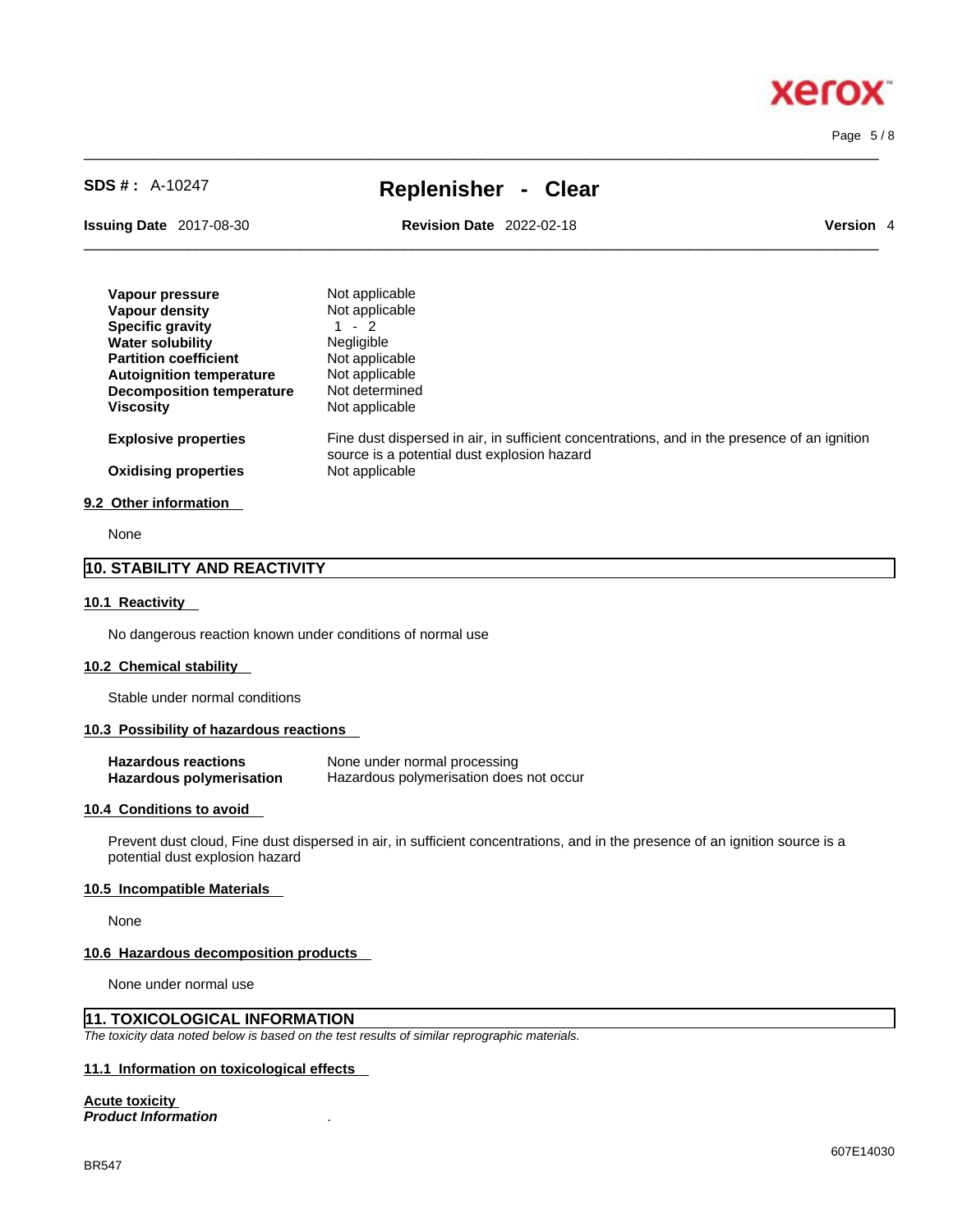#### Page 5 / 8

**Xero** 

# **SDS # :** A-10247 **Replenisher - Clear**

 $\_$  ,  $\_$  ,  $\_$  ,  $\_$  ,  $\_$  ,  $\_$  ,  $\_$  ,  $\_$  ,  $\_$  ,  $\_$  ,  $\_$  ,  $\_$  ,  $\_$  ,  $\_$  ,  $\_$  ,  $\_$  ,  $\_$  ,  $\_$  ,  $\_$  ,  $\_$  ,  $\_$  ,  $\_$  ,  $\_$  ,  $\_$  ,  $\_$  ,  $\_$  ,  $\_$  ,  $\_$  ,  $\_$  ,  $\_$  ,  $\_$  ,  $\_$  ,  $\_$  ,  $\_$  ,  $\_$  ,  $\_$  ,  $\_$  ,

**Issuing Date** 2017-08-30 **Revision Date** 2022-02-18 **Version** 4

 $\_$  ,  $\_$  ,  $\_$  ,  $\_$  ,  $\_$  ,  $\_$  ,  $\_$  ,  $\_$  ,  $\_$  ,  $\_$  ,  $\_$  ,  $\_$  ,  $\_$  ,  $\_$  ,  $\_$  ,  $\_$  ,  $\_$  ,  $\_$  ,  $\_$  ,  $\_$  ,  $\_$  ,  $\_$  ,  $\_$  ,  $\_$  ,  $\_$  ,  $\_$  ,  $\_$  ,  $\_$  ,  $\_$  ,  $\_$  ,  $\_$  ,  $\_$  ,  $\_$  ,  $\_$  ,  $\_$  ,  $\_$  ,  $\_$  ,

| Vapour pressure                  | Not applicable                                                                                                                              |
|----------------------------------|---------------------------------------------------------------------------------------------------------------------------------------------|
| Vapour density                   | Not applicable                                                                                                                              |
| <b>Specific gravity</b>          | 1 - 2                                                                                                                                       |
| <b>Water solubility</b>          | <b>Negligible</b>                                                                                                                           |
| <b>Partition coefficient</b>     | Not applicable                                                                                                                              |
| <b>Autoignition temperature</b>  | Not applicable                                                                                                                              |
| <b>Decomposition temperature</b> | Not determined                                                                                                                              |
| <b>Viscosity</b>                 | Not applicable                                                                                                                              |
| <b>Explosive properties</b>      | Fine dust dispersed in air, in sufficient concentrations, and in the presence of an ignition<br>source is a potential dust explosion hazard |
| <b>Oxidising properties</b>      | Not applicable                                                                                                                              |
|                                  |                                                                                                                                             |
|                                  |                                                                                                                                             |

#### **9.2 Other information**

None

## **10. STABILITY AND REACTIVITY**

#### **10.1 Reactivity**

No dangerous reaction known under conditions of normal use

#### **10.2 Chemical stability**

Stable under normal conditions

#### **10.3 Possibility of hazardous reactions**

| <b>Hazardous reactions</b> | None under normal processing            |
|----------------------------|-----------------------------------------|
| Hazardous polymerisation   | Hazardous polymerisation does not occur |

#### **10.4 Conditions to avoid**

Prevent dust cloud, Fine dust dispersed in air, in sufficient concentrations, and in the presence of an ignition source is a potential dust explosion hazard

#### **10.5 Incompatible Materials**

None

#### **10.6 Hazardous decomposition products**

None under normal use

## **11. TOXICOLOGICAL INFORMATION**

*The toxicity data noted below is based on the test results of similar reprographic materials.* 

## **11.1 Information on toxicological effects**

### **Acute toxicity**

*Product Information* .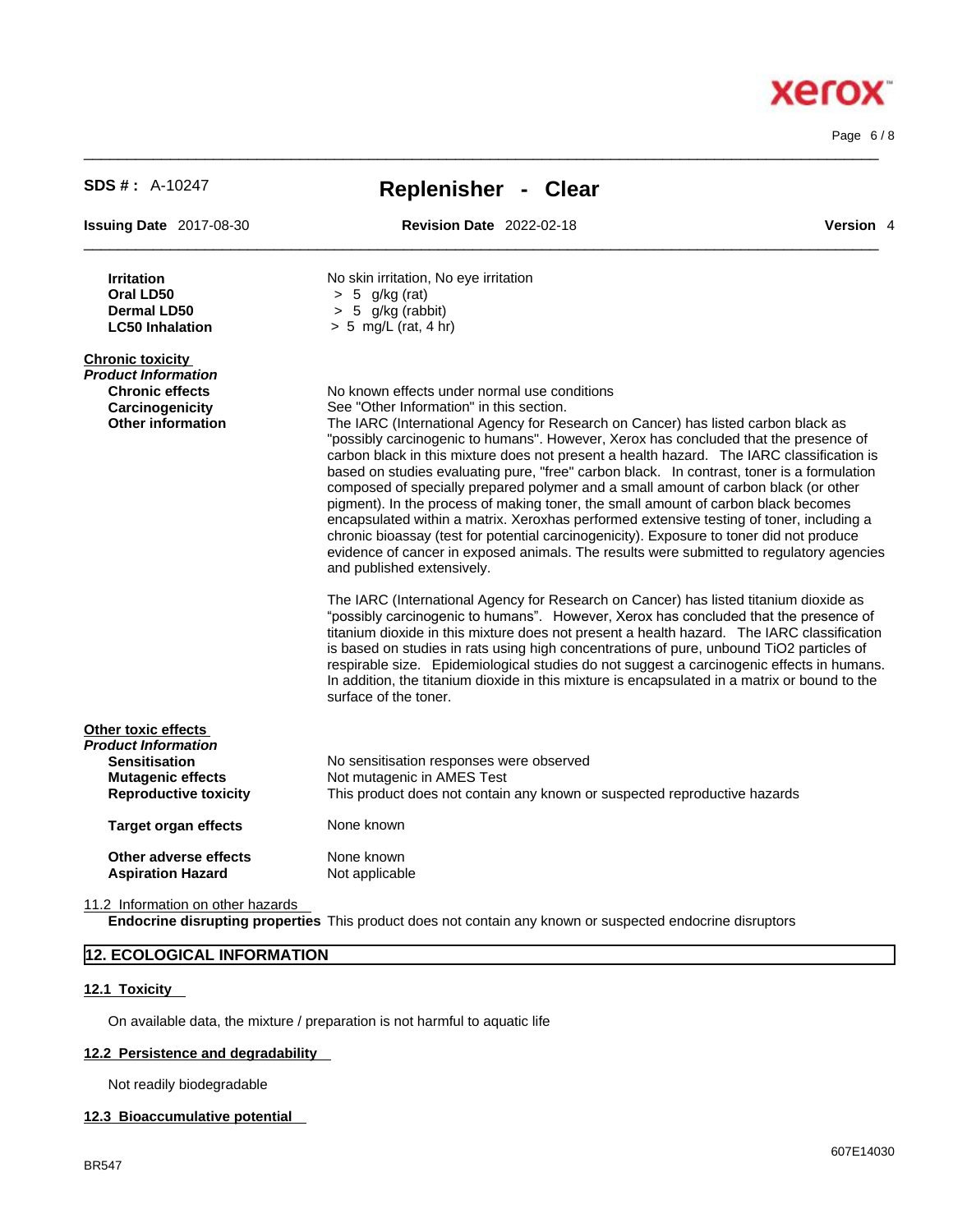Page 6 / 8

**Xerox** 

| <b>SDS #: A-10247</b>                                                                                                   | <b>Replenisher - Clear</b>                                                                                                                                                                                                                                                                                                                                                                                                                                                                                                                                                                                                                                                                                                                                                                                                                                                                                                                                                                                                                                                                                                                                                                                                                                                                                                                                                                                                                                                                                                                                        |
|-------------------------------------------------------------------------------------------------------------------------|-------------------------------------------------------------------------------------------------------------------------------------------------------------------------------------------------------------------------------------------------------------------------------------------------------------------------------------------------------------------------------------------------------------------------------------------------------------------------------------------------------------------------------------------------------------------------------------------------------------------------------------------------------------------------------------------------------------------------------------------------------------------------------------------------------------------------------------------------------------------------------------------------------------------------------------------------------------------------------------------------------------------------------------------------------------------------------------------------------------------------------------------------------------------------------------------------------------------------------------------------------------------------------------------------------------------------------------------------------------------------------------------------------------------------------------------------------------------------------------------------------------------------------------------------------------------|
| <b>Issuing Date 2017-08-30</b>                                                                                          | <b>Revision Date 2022-02-18</b><br>Version 4                                                                                                                                                                                                                                                                                                                                                                                                                                                                                                                                                                                                                                                                                                                                                                                                                                                                                                                                                                                                                                                                                                                                                                                                                                                                                                                                                                                                                                                                                                                      |
| <b>Irritation</b><br>Oral LD50<br><b>Dermal LD50</b><br><b>LC50 Inhalation</b>                                          | No skin irritation, No eye irritation<br>$> 5$ g/kg (rat)<br>$> 5$ g/kg (rabbit)<br>$> 5$ mg/L (rat, 4 hr)                                                                                                                                                                                                                                                                                                                                                                                                                                                                                                                                                                                                                                                                                                                                                                                                                                                                                                                                                                                                                                                                                                                                                                                                                                                                                                                                                                                                                                                        |
| <b>Chronic toxicity</b><br>Product Information<br><b>Chronic effects</b><br>Carcinogenicity<br><b>Other information</b> | No known effects under normal use conditions<br>See "Other Information" in this section.<br>The IARC (International Agency for Research on Cancer) has listed carbon black as<br>"possibly carcinogenic to humans". However, Xerox has concluded that the presence of<br>carbon black in this mixture does not present a health hazard. The IARC classification is<br>based on studies evaluating pure, "free" carbon black. In contrast, toner is a formulation<br>composed of specially prepared polymer and a small amount of carbon black (or other<br>pigment). In the process of making toner, the small amount of carbon black becomes<br>encapsulated within a matrix. Xeroxhas performed extensive testing of toner, including a<br>chronic bioassay (test for potential carcinogenicity). Exposure to toner did not produce<br>evidence of cancer in exposed animals. The results were submitted to regulatory agencies<br>and published extensively.<br>The IARC (International Agency for Research on Cancer) has listed titanium dioxide as<br>"possibly carcinogenic to humans". However, Xerox has concluded that the presence of<br>titanium dioxide in this mixture does not present a health hazard. The IARC classification<br>is based on studies in rats using high concentrations of pure, unbound TiO2 particles of<br>respirable size. Epidemiological studies do not suggest a carcinogenic effects in humans.<br>In addition, the titanium dioxide in this mixture is encapsulated in a matrix or bound to the<br>surface of the toner. |
| Other toxic effects<br>Product Information<br><b>Sensitisation</b><br><b>Mutagenic effects</b>                          | No sensitisation responses were observed<br>Not mutagenic in AMES Test                                                                                                                                                                                                                                                                                                                                                                                                                                                                                                                                                                                                                                                                                                                                                                                                                                                                                                                                                                                                                                                                                                                                                                                                                                                                                                                                                                                                                                                                                            |
| <b>Reproductive toxicity</b><br><b>Target organ effects</b>                                                             | This product does not contain any known or suspected reproductive hazards<br>None known                                                                                                                                                                                                                                                                                                                                                                                                                                                                                                                                                                                                                                                                                                                                                                                                                                                                                                                                                                                                                                                                                                                                                                                                                                                                                                                                                                                                                                                                           |
| Other adverse effects                                                                                                   | None known                                                                                                                                                                                                                                                                                                                                                                                                                                                                                                                                                                                                                                                                                                                                                                                                                                                                                                                                                                                                                                                                                                                                                                                                                                                                                                                                                                                                                                                                                                                                                        |
| <b>Aspiration Hazard</b>                                                                                                | Not applicable                                                                                                                                                                                                                                                                                                                                                                                                                                                                                                                                                                                                                                                                                                                                                                                                                                                                                                                                                                                                                                                                                                                                                                                                                                                                                                                                                                                                                                                                                                                                                    |

 $\_$  ,  $\_$  ,  $\_$  ,  $\_$  ,  $\_$  ,  $\_$  ,  $\_$  ,  $\_$  ,  $\_$  ,  $\_$  ,  $\_$  ,  $\_$  ,  $\_$  ,  $\_$  ,  $\_$  ,  $\_$  ,  $\_$  ,  $\_$  ,  $\_$  ,  $\_$  ,  $\_$  ,  $\_$  ,  $\_$  ,  $\_$  ,  $\_$  ,  $\_$  ,  $\_$  ,  $\_$  ,  $\_$  ,  $\_$  ,  $\_$  ,  $\_$  ,  $\_$  ,  $\_$  ,  $\_$  ,  $\_$  ,  $\_$  ,

11.2 Information on other hazards

**Endocrine disrupting properties** This product does not contain any known or suspected endocrine disruptors

### **12. ECOLOGICAL INFORMATION**

### **12.1 Toxicity**

On available data, the mixture / preparation is not harmful to aquatic life

### **12.2 Persistence and degradability**

Not readily biodegradable

#### **12.3 Bioaccumulative potential**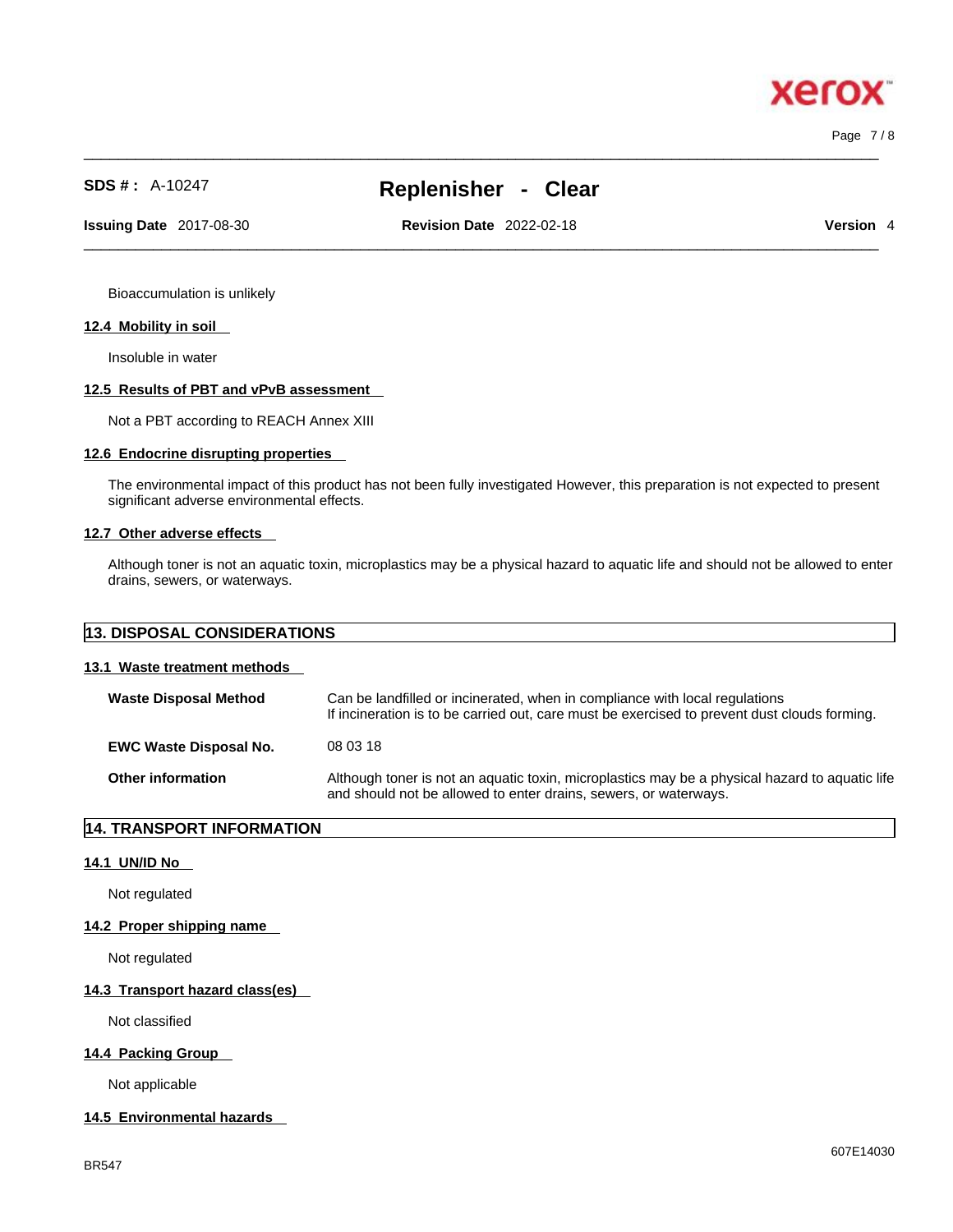Page 7 / 8

xero

# **SDS # :** A-10247 **Replenisher - Clear**

 $\_$  ,  $\_$  ,  $\_$  ,  $\_$  ,  $\_$  ,  $\_$  ,  $\_$  ,  $\_$  ,  $\_$  ,  $\_$  ,  $\_$  ,  $\_$  ,  $\_$  ,  $\_$  ,  $\_$  ,  $\_$  ,  $\_$  ,  $\_$  ,  $\_$  ,  $\_$  ,  $\_$  ,  $\_$  ,  $\_$  ,  $\_$  ,  $\_$  ,  $\_$  ,  $\_$  ,  $\_$  ,  $\_$  ,  $\_$  ,  $\_$  ,  $\_$  ,  $\_$  ,  $\_$  ,  $\_$  ,  $\_$  ,  $\_$  , **Issuing Date** 2017-08-30 **Revision Date** 2022-02-18 **Version** 4

 $\_$  ,  $\_$  ,  $\_$  ,  $\_$  ,  $\_$  ,  $\_$  ,  $\_$  ,  $\_$  ,  $\_$  ,  $\_$  ,  $\_$  ,  $\_$  ,  $\_$  ,  $\_$  ,  $\_$  ,  $\_$  ,  $\_$  ,  $\_$  ,  $\_$  ,  $\_$  ,  $\_$  ,  $\_$  ,  $\_$  ,  $\_$  ,  $\_$  ,  $\_$  ,  $\_$  ,  $\_$  ,  $\_$  ,  $\_$  ,  $\_$  ,  $\_$  ,  $\_$  ,  $\_$  ,  $\_$  ,  $\_$  ,  $\_$  ,

Bioaccumulation is unlikely

#### **12.4 Mobility in soil**

Insoluble in water

#### **12.5 Results of PBT and vPvB assessment**

Not a PBT according to REACH Annex XIII

### **12.6 Endocrine disrupting properties**

The environmental impact of this product has not been fully investigated However, this preparation is not expected to present significant adverse environmental effects.

#### **12.7 Other adverse effects**

Although toner is not an aquatic toxin, microplastics may be a physical hazard to aquatic life and should not be allowed to enter drains, sewers, or waterways.

| <b>13. DISPOSAL CONSIDERATIONS</b> |  |
|------------------------------------|--|
|------------------------------------|--|

### **13.1 Waste treatment methods**

| <b>Waste Disposal Method</b>  | Can be landfilled or incinerated, when in compliance with local regulations<br>If incineration is to be carried out, care must be exercised to prevent dust clouds forming. |
|-------------------------------|-----------------------------------------------------------------------------------------------------------------------------------------------------------------------------|
| <b>EWC Waste Disposal No.</b> | 08 03 18                                                                                                                                                                    |
| <b>Other information</b>      | Although toner is not an aquatic toxin, microplastics may be a physical hazard to aquatic life<br>and should not be allowed to enter drains, sewers, or waterways.          |

### **14. TRANSPORT INFORMATION**

#### **14.1 UN/ID No**

Not regulated

#### **14.2 Proper shipping name**

Not regulated

#### **14.3 Transport hazard class(es)**

Not classified

### **14.4 Packing Group**

Not applicable

#### **14.5 Environmental hazards**